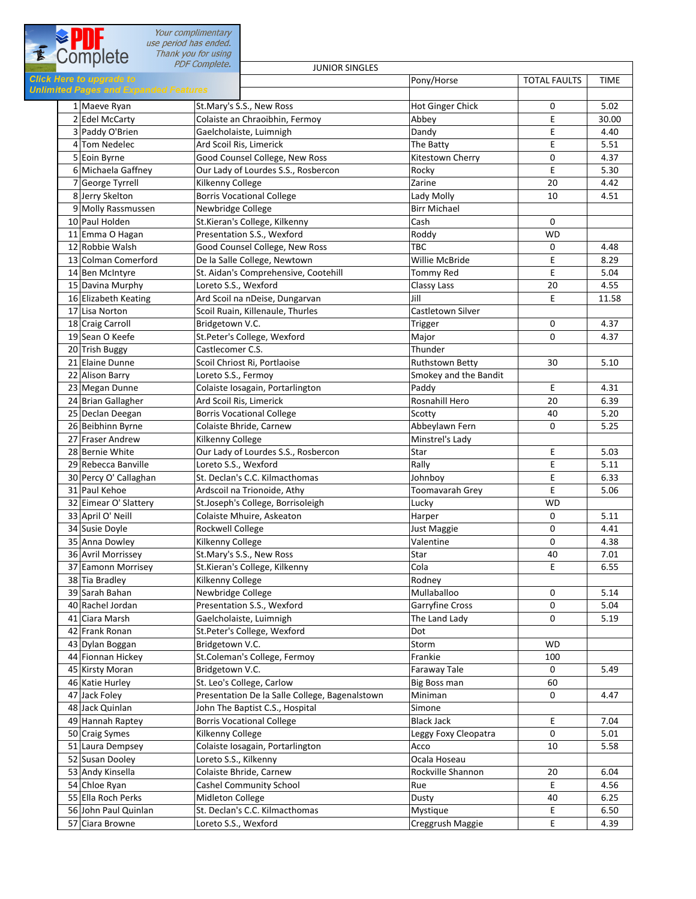| E Complete<br>use period has ended.                                             | Your complimentary                                        |                          |                     |               |
|---------------------------------------------------------------------------------|-----------------------------------------------------------|--------------------------|---------------------|---------------|
|                                                                                 | Thank you for using<br><b>PDF Complete.</b>               |                          |                     |               |
|                                                                                 | <b>JUNIOR SINGLES</b>                                     |                          |                     |               |
| <b>Click Here to upgrade to</b><br><b>Unlimited Pages and Expanded Features</b> |                                                           | Pony/Horse               | <b>TOTAL FAULTS</b> | <b>TIME</b>   |
|                                                                                 |                                                           |                          |                     |               |
| 1 Maeve Ryan<br>2 Edel McCarty                                                  | St.Mary's S.S., New Ross                                  | <b>Hot Ginger Chick</b>  | 0<br>E              | 5.02<br>30.00 |
| 3 Paddy O'Brien                                                                 | Colaiste an Chraoibhin, Fermoy<br>Gaelcholaiste, Luimnigh | Abbey<br>Dandy           | E                   | 4.40          |
| 4 Tom Nedelec                                                                   |                                                           | The Batty                | E                   | 5.51          |
| 5 Eoin Byrne                                                                    | Ard Scoil Ris, Limerick<br>Good Counsel College, New Ross | Kitestown Cherry         | 0                   | 4.37          |
| 6 Michaela Gaffney                                                              | Our Lady of Lourdes S.S., Rosbercon                       | Rocky                    | E                   | 5.30          |
| 7 George Tyrrell                                                                | Kilkenny College                                          | Zarine                   | 20                  | 4.42          |
| 8 Jerry Skelton                                                                 | <b>Borris Vocational College</b>                          | Lady Molly               | 10                  | 4.51          |
| 9 Molly Rassmussen                                                              | Newbridge College                                         | <b>Birr Michael</b>      |                     |               |
| 10 Paul Holden                                                                  | St.Kieran's College, Kilkenny                             | Cash                     | 0                   |               |
| 11 Emma O Hagan                                                                 | Presentation S.S., Wexford                                | Roddy                    | <b>WD</b>           |               |
| 12 Robbie Walsh                                                                 | Good Counsel College, New Ross                            | <b>TBC</b>               | 0                   | 4.48          |
| 13 Colman Comerford                                                             | De la Salle College, Newtown                              | Willie McBride           | E                   | 8.29          |
| 14 Ben McIntyre                                                                 | St. Aidan's Comprehensive, Cootehill                      | Tommy Red                | E                   | 5.04          |
| 15 Davina Murphy                                                                | Loreto S.S., Wexford                                      | Classy Lass              | 20                  | 4.55          |
| 16 Elizabeth Keating                                                            | Ard Scoil na nDeise, Dungarvan                            | Jill                     | E                   | 11.58         |
| 17 Lisa Norton                                                                  | Scoil Ruain, Killenaule, Thurles                          | <b>Castletown Silver</b> |                     |               |
| 18 Craig Carroll                                                                | Bridgetown V.C.                                           | Trigger                  | 0                   | 4.37          |
| 19 Sean O Keefe                                                                 | St.Peter's College, Wexford                               | Major                    | 0                   | 4.37          |
| 20 Trish Buggy                                                                  | Castlecomer C.S.                                          | Thunder                  |                     |               |
| 21 Elaine Dunne                                                                 | Scoil Chriost Ri, Portlaoise                              | Ruthstown Betty          | 30                  | 5.10          |
| 22 Alison Barry                                                                 | Loreto S.S., Fermoy                                       | Smokey and the Bandit    |                     |               |
| 23 Megan Dunne                                                                  | Colaiste Iosagain, Portarlington                          | Paddy                    | E                   | 4.31          |
| 24 Brian Gallagher                                                              | Ard Scoil Ris, Limerick                                   | Rosnahill Hero           | 20                  | 6.39          |
| 25 Declan Deegan                                                                | <b>Borris Vocational College</b>                          | Scotty                   | 40                  | 5.20          |
| 26 Beibhinn Byrne                                                               | Colaiste Bhride, Carnew                                   | Abbeylawn Fern           | 0                   | 5.25          |
| 27 Fraser Andrew                                                                | Kilkenny College                                          | Minstrel's Lady          |                     |               |
| 28 Bernie White                                                                 | Our Lady of Lourdes S.S., Rosbercon                       | Star                     | E                   | 5.03          |
| 29 Rebecca Banville                                                             | Loreto S.S., Wexford                                      | Rally                    | E                   | 5.11          |
| 30 Percy O' Callaghan                                                           | St. Declan's C.C. Kilmacthomas                            | Johnboy                  | E                   | 6.33          |
| 31 Paul Kehoe                                                                   | Ardscoil na Trionoide, Athy                               | <b>Toomavarah Grey</b>   | E                   | 5.06          |
| 32 Eimear O' Slattery                                                           | St.Joseph's College, Borrisoleigh                         | Lucky                    | <b>WD</b>           |               |
| 33 April O' Neill                                                               | Colaiste Mhuire, Askeaton                                 | Harper                   | 0                   | 5.11          |
| 34 Susie Doyle                                                                  | Rockwell College                                          | Just Maggie              | 0                   | 4.41          |
| 35 Anna Dowley                                                                  | Kilkenny College                                          | Valentine                | 0                   | 4.38          |
| 36 Avril Morrissey                                                              | St.Mary's S.S., New Ross                                  | Star                     | 40                  | 7.01          |
| 37 Eamonn Morrisey                                                              | St.Kieran's College, Kilkenny                             | Cola                     | E                   | 6.55          |
| 38 Tia Bradley                                                                  | Kilkenny College                                          | Rodney                   |                     |               |
| 39 Sarah Bahan                                                                  | Newbridge College                                         | Mullaballoo              | 0                   | 5.14          |
| 40 Rachel Jordan                                                                | Presentation S.S., Wexford                                | Garryfine Cross          | 0                   | 5.04          |
| 41 Ciara Marsh                                                                  | Gaelcholaiste, Luimnigh                                   | The Land Lady            | 0                   | 5.19          |
| 42 Frank Ronan                                                                  | St.Peter's College, Wexford                               | Dot                      |                     |               |
| 43 Dylan Boggan                                                                 | Bridgetown V.C.                                           |                          |                     |               |
|                                                                                 |                                                           | Storm                    | WD                  |               |
| 44 Fionnan Hickey                                                               | St.Coleman's College, Fermoy                              | Frankie                  | 100                 |               |
| 45 Kirsty Moran                                                                 | Bridgetown V.C.                                           | Faraway Tale             | 0                   | 5.49          |
| 46 Katie Hurley                                                                 | St. Leo's College, Carlow                                 | Big Boss man             | 60                  |               |
| 47 Jack Foley                                                                   | Presentation De la Salle College, Bagenalstown            | Miniman                  | 0                   | 4.47          |
| 48 Jack Quinlan                                                                 | John The Baptist C.S., Hospital                           | Simone                   |                     |               |
| 49 Hannah Raptey                                                                | <b>Borris Vocational College</b>                          | <b>Black Jack</b>        | E                   | 7.04          |
| 50 Craig Symes                                                                  | Kilkenny College                                          | Leggy Foxy Cleopatra     | 0                   | 5.01          |
| 51 Laura Dempsey                                                                | Colaiste Iosagain, Portarlington                          | Acco                     | 10                  | 5.58          |
| 52 Susan Dooley                                                                 | Loreto S.S., Kilkenny<br>Colaiste Bhride, Carnew          | Ocala Hoseau             | 20                  |               |
|                                                                                 |                                                           | Rockville Shannon        |                     | 6.04          |
| 53 Andy Kinsella                                                                |                                                           |                          |                     |               |
| 54 Chloe Ryan                                                                   | Cashel Community School                                   | Rue                      | Ε                   | 4.56          |
| 55 Ella Roch Perks<br>56 John Paul Quinlan                                      | Midleton College<br>St. Declan's C.C. Kilmacthomas        | Dusty<br>Mystique        | 40<br>E             | 6.25<br>6.50  |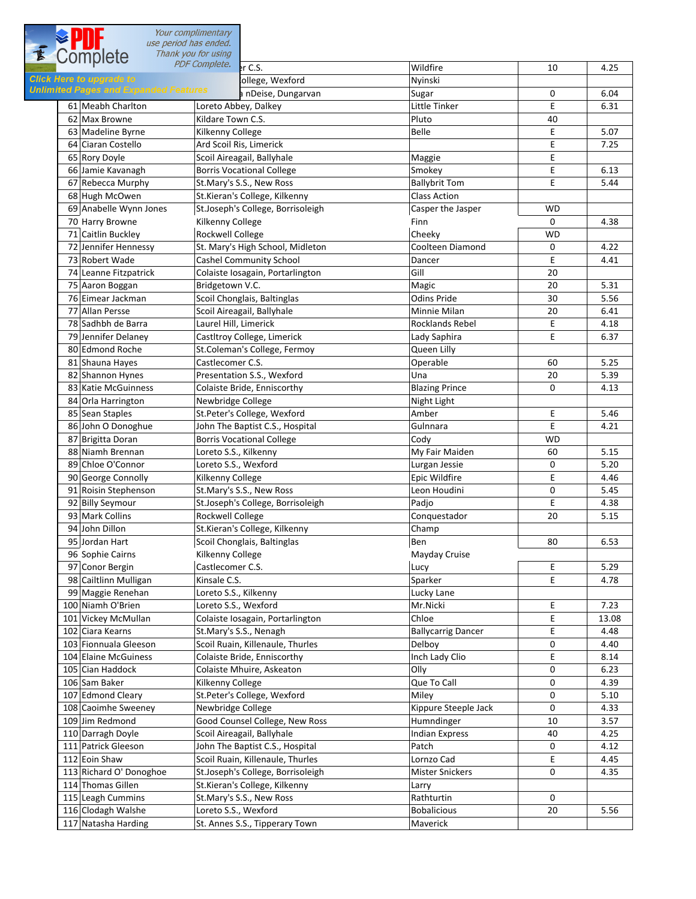Your complimentary use period has ended. Thank you for using **1** *EXECUTER PDF Complete.* Separation of the CASTLECOMERCIAL CASTLECOMERCIAL CASTLECOMERCIAL CASTLECOMERCIAL CASTLECOMERCIAL CASTLECOMERCIAL CASTLECOMERCIAL CASTLECOMERCIAL CASTLECOMERCIAL CASTLECOMERCIAL CASTLECOMERCIAL **Slick Here to upgrade to example the straph Turner St. Peters' College, Wexford Nyinski** Nyinski Unlimited Pages and Expanded Features and Deise, Dungarvan Sugar 0 6.04 61 Meabh Charlton Loreto Abbey, Dalkey Little Tinker E 6.31 62 Max Browne Kildare Town C.S. Pluto Pluto 40 63 Madeline Byrne Kilkenny College Research Belle E 5.07 64 Ciaran Costello **Ard Scoil Ris, Limerick** E 7.25 65 Rory Doyle Scoil Aireagail, Ballyhale Maggie Maggie E 66 Jamie Kavanagh Borris Vocational College Smokey E 6.13 67 Rebecca Murphy St.Mary's S.S., New Ross Ballybrit Tom E 5.44 68 Hugh McOwen St.Kieran's College, Kilkenny St.Kieran's College, Kilkenny 69 Anabelle Wynn Jones St.Joseph's College, Borrisoleigh Casper the Jasper WD 70 Harry Browne **Kilkenny College Finn** 0 4.38 71 Caitlin Buckley Rockwell College Cheeky WD 72 Jennifer Hennessy St. Mary's High School, Midleton Coolteen Diamond  $0 \t 4.22$ 73 Robert Wade Cashel Community School Dancer E 4.41 74 Leanne Fitzpatrick Colaiste Iosagain, Portarlington Gill Gill Colaiste Iosagain, Portarlington Gill Colaiste I 75 Aaron Boggan Bridgetown V.C. Magic 20 5.31 76 Eimear Jackman Scoil Chonglais, Baltinglas Odins Pride 30 5.56 77 Allan Persse Scoil Aireagail, Ballyhale Minnie Milan Minnie Milan 20 (6.41) 78 Sadhbh de Barra **Laurel Hill, Limerick** Rocklands Rebel E 4.18 79 Jennifer Delaney Castltroy College, Limerick Castles Lady Saphira E 6.37 80 Edmond Roche St.Coleman's College, Fermoy Queen Lilly 81 Shauna Hayes Castlecomer C.S. Castle Control operable 60 5.25 82 Shannon Hynes Presentation S.S., Wexford Vina Una 20 5.39 83 Katie McGuinness Colaiste Bride, Enniscorthy Blazing Prince 0 4.13 84 Orla Harrington Newbridge College Night Light Light Light Light 85 Sean Staples St.Peter's College, Wexford St.Peter's College, Wexford E 5.46 86 John O Donoghue John The Baptist C.S., Hospital Gulnnara E 4.21 87 Brigitta Doran Borris Vocational College Cody Cody Cody WD 88 Niamh Brennan Loreto S.S., Kilkenny My Fair Maiden 60 5.15 89 Chloe O'Connor Loreto S.S., Wexford Lurgan Jessie 0 5.20 90 George Connolly **Kilkenny College Epic Wildfire** Epic Wildfire E 4.46 0 5.45 91 Roisin Stephenson St.Mary's S.S., New Ross St.Mary's Leon Houdini 92 Billy Seymour St.Joseph's College, Borrisoleigh Padjo E 4.38 93 Mark Collins Rockwell College Rockwell College Rockwell Conquestador 20 5.15 94 John Dillon St.Kieran's College, Kilkenny Champ 95 Jordan Hart Scoil Chonglais, Baltinglas Ben Ben 80 80 6.53 96 Sophie Cairns **May Accord College** Mayday Cruise Mayday Cruise Mayday Cruise 97 Conor Bergin Castlecomer C.S. Lucy E 5.29 98 Cailtlinn Mulligan Kinsale C.S. Sparker E 4.78 99 Maggie Renehan Loreto S.S., Kilkenny Lucky Lane Lucky Lane 100 Niamh O'Brien Loreto S.S., Wexford Mr.Nicki E 7.23 101 Vickey McMullan Colaiste Iosagain, Portarlington Chloe E 13.08 102 Ciara Kearns St.Mary's S.S., Nenagh Ballycarrig Dancer E 4.48 0 4.40 103 Fionnuala Gleeson Scoil Ruain, Killenaule, Thurles Delboy 104 Elaine McGuiness Colaiste Bride, Enniscorthy Inch Lady Clio E 8.14 105 Cian Haddock Colaiste Mhuire, Askeaton Olly 0 6.23 106 Sam Baker Kilkenny College College Reserves College 0 4.39 107 Edmond Cleary St.Peter's College, Wexford Miley 0 5.10 108 Caoimhe Sweeney Mewbridge College Kippure Steeple Jack 0 4.33 109 Jim Redmond Good Counsel College, New Ross Humndinger 10 10 3.57 110 Darragh Doyle Scoil Aireagail, Ballyhale Indian Express 1998 (Indian Express 40 4.25 111 Patrick Gleeson John The Baptist C.S., Hospital Patch 0 4.12 E 4.45 112 Eoin Shaw Scoil Ruain, Killenaule, Thurles Lornzo Cad 113 Richard O' Donoghoe St.Joseph's College, Borrisoleigh Mister Snickers 0 4.35 114 Thomas Gillen St.Kieran's College, Kilkenny St.Kieran's College, Kilkenny 115 Leagh Cummins St.Mary's S.S., New Ross Rathturtin 0 116 Clodagh Walshe Loreto S.S., Wexford Bobalicious Bobalicious 20 | 5.56 117 Natasha Harding St. Annes S.S., Tipperary Town Maverick